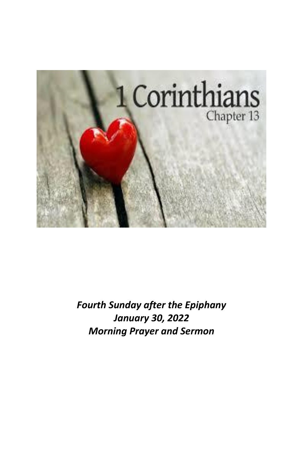

*Fourth Sunday after the Epiphany January 30, 2022 Morning Prayer and Sermon*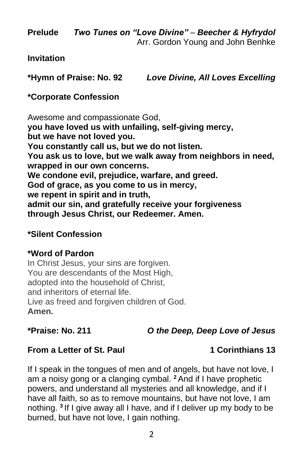**Prelude** *Two Tunes on "Love Divine"* – *Beecher & Hyfrydol* Arr. Gordon Young and John Benhke

#### **Invitation**

**\*Hymn of Praise: No. 92** *Love Divine, All Loves Excelling*

### **\*Corporate Confession**

Awesome and compassionate God, **you have loved us with unfailing, self-giving mercy, but we have not loved you. You constantly call us, but we do not listen. You ask us to love, but we walk away from neighbors in need, wrapped in our own concerns. We condone evil, prejudice, warfare, and greed. God of grace, as you come to us in mercy, we repent in spirit and in truth, admit our sin, and gratefully receive your forgiveness through Jesus Christ, our Redeemer. Amen.** 

### **\*Silent Confession**

### **\*Word of Pardon**

In Christ Jesus, your sins are forgiven. You are descendants of the Most High, adopted into the household of Christ, and inheritors of eternal life. Live as freed and forgiven children of God. **Amen.**

### **\*Praise: No. 211** *O the Deep, Deep Love of Jesus*

### **From a Letter of St. Paul 1 Corinthians 13**

If I speak in the tongues of men and of angels, but have not love, I am a noisy gong or a clanging cymbal. **<sup>2</sup>** And if I have prophetic powers, and understand all mysteries and all knowledge, and if I have all faith, so as to remove mountains, but have not love, I am nothing. **<sup>3</sup>** If I give away all I have, and if I deliver up my body to be burned, but have not love, I gain nothing.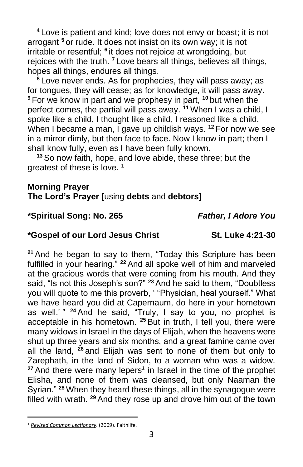**<sup>4</sup>** Love is patient and kind; love does not envy or boast; it is not arrogant **<sup>5</sup>** or rude. It does not insist on its own way; it is not irritable or resentful; <sup>6</sup> it does not rejoice at wrongdoing, but rejoices with the truth. **<sup>7</sup>** Love bears all things, believes all things, hopes all things, endures all things.

**<sup>8</sup>** Love never ends. As for prophecies, they will pass away; as for tongues, they will cease; as for knowledge, it will pass away. **<sup>9</sup>** For we know in part and we prophesy in part, **<sup>10</sup>** but when the perfect comes, the partial will pass away. **<sup>11</sup>** When I was a child, I spoke like a child, I thought like a child, I reasoned like a child. When I became a man, I gave up childish ways. **<sup>12</sup>** For now we see in a mirror dimly, but then face to face. Now I know in part; then I shall know fully, even as I have been fully known.

**<sup>13</sup>** So now faith, hope, and love abide, these three; but the greatest of these is love.  $1$ 

#### **Morning Prayer**

#### **The Lord's Prayer [**using **debts** and **debtors]**

#### **\*Spiritual Song: No. 265** *Father, I Adore You*

#### **\*Gospel of our Lord Jesus Christ St. Luke 4:21-30**

**<sup>21</sup>** And he began to say to them, "Today this Scripture has been fulfilled in your hearing." **<sup>22</sup>** And all spoke well of him and marveled at the gracious words that were coming from his mouth. And they said, "Is not this Joseph's son?" **<sup>23</sup>** And he said to them, "Doubtless you will quote to me this proverb, ' "Physician, heal yourself." What we have heard you did at Capernaum, do here in your hometown as well.' " **<sup>24</sup>** And he said, "Truly, I say to you, no prophet is acceptable in his hometown. **<sup>25</sup>** But in truth, I tell you, there were many widows in Israel in the days of Elijah, when the heavens were shut up three years and six months, and a great famine came over all the land, **<sup>26</sup>** and Elijah was sent to none of them but only to Zarephath, in the land of Sidon, to a woman who was a widow. **<sup>27</sup>** And there were many lepers*<sup>1</sup>* in Israel in the time of the prophet Elisha, and none of them was cleansed, but only Naaman the Syrian." **<sup>28</sup>** When they heard these things, all in the synagogue were filled with wrath. **<sup>29</sup>** And they rose up and drove him out of the town

<sup>1</sup> *[Revised Common Lectionary](https://ref.ly/logosres/rcl?ref=YearMonthDay.1-30-2022&off=296&ctx=Corinthians+13:1%E2%80%9313%0a~+%0aGOSPEL%0aLuke+4:21%E2%80%933)*. (2009). Faithlife.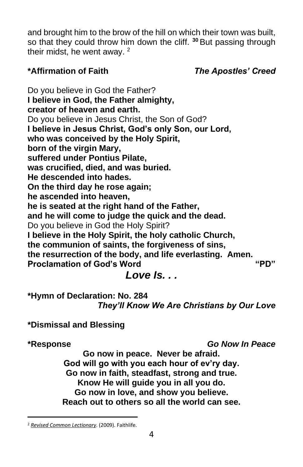and brought him to the brow of the hill on which their town was built, so that they could throw him down the cliff. **<sup>30</sup>** But passing through their midst, he went away. <sup>2</sup>

### **\*Affirmation of Faith** *The Apostles' Creed*

Do you believe in God the Father? **I believe in God, the Father almighty, creator of heaven and earth.** Do you believe in Jesus Christ, the Son of God? **I believe in Jesus Christ, God's only Son, our Lord, who was conceived by the Holy Spirit, born of the virgin Mary, suffered under Pontius Pilate, was crucified, died, and was buried. He descended into hades. On the third day he rose again; he ascended into heaven, he is seated at the right hand of the Father, and he will come to judge the quick and the dead.** Do you believe in God the Holy Spirit? **I believe in the Holy Spirit, the holy catholic Church, the communion of saints, the forgiveness of sins, the resurrection of the body, and life everlasting. Amen. Proclamation of God's Word "PD"** *Love Is. . .*

**\*Hymn of Declaration: No. 284** *They'll Know We Are Christians by Our Love*

**\*Dismissal and Blessing**

**\*Response** *Go Now In Peace*

**Go now in peace. Never be afraid. God will go with you each hour of ev'ry day. Go now in faith, steadfast, strong and true. Know He will guide you in all you do. Go now in love, and show you believe. Reach out to others so all the world can see.**

<sup>2</sup> *[Revised Common Lectionary](https://ref.ly/logosres/rcl?ref=YearMonthDay.1-30-2022&off=318&ctx=inthians+13:1%E2%80%9313%0a+%0aGOSPEL%0aLuke+4:21%E2%80%9330%0a~+)*. (2009). Faithlife.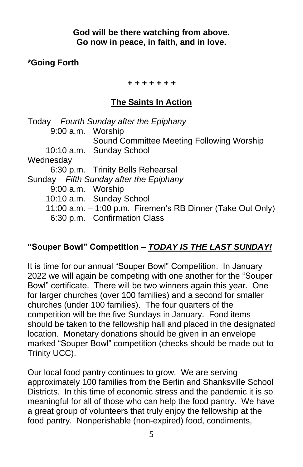### **God will be there watching from above. Go now in peace, in faith, and in love.**

### **\*Going Forth**

#### *+ + + + + + +*

### **The Saints In Action**

|                                          | Today – Fourth Sunday after the Epiphany                   |  |  |  |
|------------------------------------------|------------------------------------------------------------|--|--|--|
| 9:00 a.m. Worship                        |                                                            |  |  |  |
|                                          | Sound Committee Meeting Following Worship                  |  |  |  |
|                                          | 10:10 a.m. Sunday School                                   |  |  |  |
| Wednesday                                |                                                            |  |  |  |
|                                          | 6:30 p.m. Trinity Bells Rehearsal                          |  |  |  |
| Sunday – Fifth Sunday after the Epiphany |                                                            |  |  |  |
| 9:00 a.m. Worship                        |                                                            |  |  |  |
|                                          | 10:10 a.m. Sunday School                                   |  |  |  |
|                                          | 11:00 a.m. - 1:00 p.m. Firemen's RB Dinner (Take Out Only) |  |  |  |
|                                          | 6:30 p.m. Confirmation Class                               |  |  |  |
|                                          |                                                            |  |  |  |

### **"Souper Bowl" Competition –** *TODAY IS THE LAST SUNDAY!*

It is time for our annual "Souper Bowl" Competition. In January 2022 we will again be competing with one another for the "Souper Bowl" certificate. There will be two winners again this year. One for larger churches (over 100 families) and a second for smaller churches (under 100 families). The four quarters of the competition will be the five Sundays in January. Food items should be taken to the fellowship hall and placed in the designated location. Monetary donations should be given in an envelope marked "Souper Bowl" competition (checks should be made out to Trinity UCC).

Our local food pantry continues to grow. We are serving approximately 100 families from the Berlin and Shanksville School Districts. In this time of economic stress and the pandemic it is so meaningful for all of those who can help the food pantry. We have a great group of volunteers that truly enjoy the fellowship at the food pantry. Nonperishable (non-expired) food, condiments,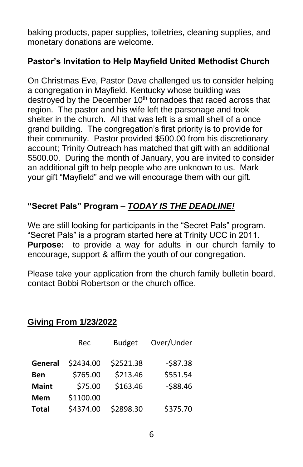baking products, paper supplies, toiletries, cleaning supplies, and monetary donations are welcome.

### **Pastor's Invitation to Help Mayfield United Methodist Church**

On Christmas Eve, Pastor Dave challenged us to consider helping a congregation in Mayfield, Kentucky whose building was destroyed by the December 10<sup>th</sup> tornadoes that raced across that region. The pastor and his wife left the parsonage and took shelter in the church. All that was left is a small shell of a once grand building. The congregation's first priority is to provide for their community. Pastor provided \$500.00 from his discretionary account; Trinity Outreach has matched that gift with an additional \$500.00. During the month of January, you are invited to consider an additional gift to help people who are unknown to us. Mark your gift "Mayfield" and we will encourage them with our gift.

## **"Secret Pals" Program –** *TODAY IS THE DEADLINE!*

We are still looking for participants in the "Secret Pals" program. "Secret Pals" is a program started here at Trinity UCC in 2011. **Purpose:** to provide a way for adults in our church family to encourage, support & affirm the youth of our congregation.

Please take your application from the church family bulletin board, contact Bobbi Robertson or the church office.

# **Giving From 1/23/2022**

|              | Rec       | <b>Budget</b> | Over/Under |
|--------------|-----------|---------------|------------|
| General      | \$2434.00 | \$2521.38     | $-587.38$  |
| <b>Ben</b>   | \$765.00  | \$213.46      | \$551.54   |
| <b>Maint</b> | \$75.00   | \$163.46      | $-588.46$  |
| <b>Mem</b>   | \$1100.00 |               |            |
| <b>Total</b> | \$4374.00 | \$2898.30     | \$375.70   |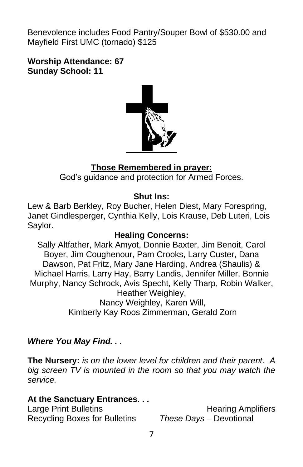Benevolence includes Food Pantry/Souper Bowl of \$530.00 and Mayfield First UMC (tornado) \$125

**Worship Attendance: 67 Sunday School: 11**



### **Those Remembered in prayer:**

God's guidance and protection for Armed Forces.

### **Shut Ins:**

Lew & Barb Berkley, Roy Bucher, Helen Diest, Mary Forespring, Janet Gindlesperger, Cynthia Kelly, Lois Krause, Deb Luteri, Lois Saylor.

### **Healing Concerns:**

Sally Altfather, Mark Amyot, Donnie Baxter, Jim Benoit, Carol Boyer, Jim Coughenour, Pam Crooks, Larry Custer, Dana Dawson, Pat Fritz, Mary Jane Harding, Andrea (Shaulis) & Michael Harris, Larry Hay, Barry Landis, Jennifer Miller, Bonnie Murphy, Nancy Schrock, Avis Specht, Kelly Tharp, Robin Walker, Heather Weighley, Nancy Weighley, Karen Will, Kimberly Kay Roos Zimmerman, Gerald Zorn

### *Where You May Find. . .*

**The Nursery:** *is on the lower level for children and their parent. A big screen TV is mounted in the room so that you may watch the service.*

### **At the Sanctuary Entrances. . .**

Recycling Boxes for Bulletins *These Days –* Devotional

Large Print Bulletins **Example 20** Hearing Amplifiers